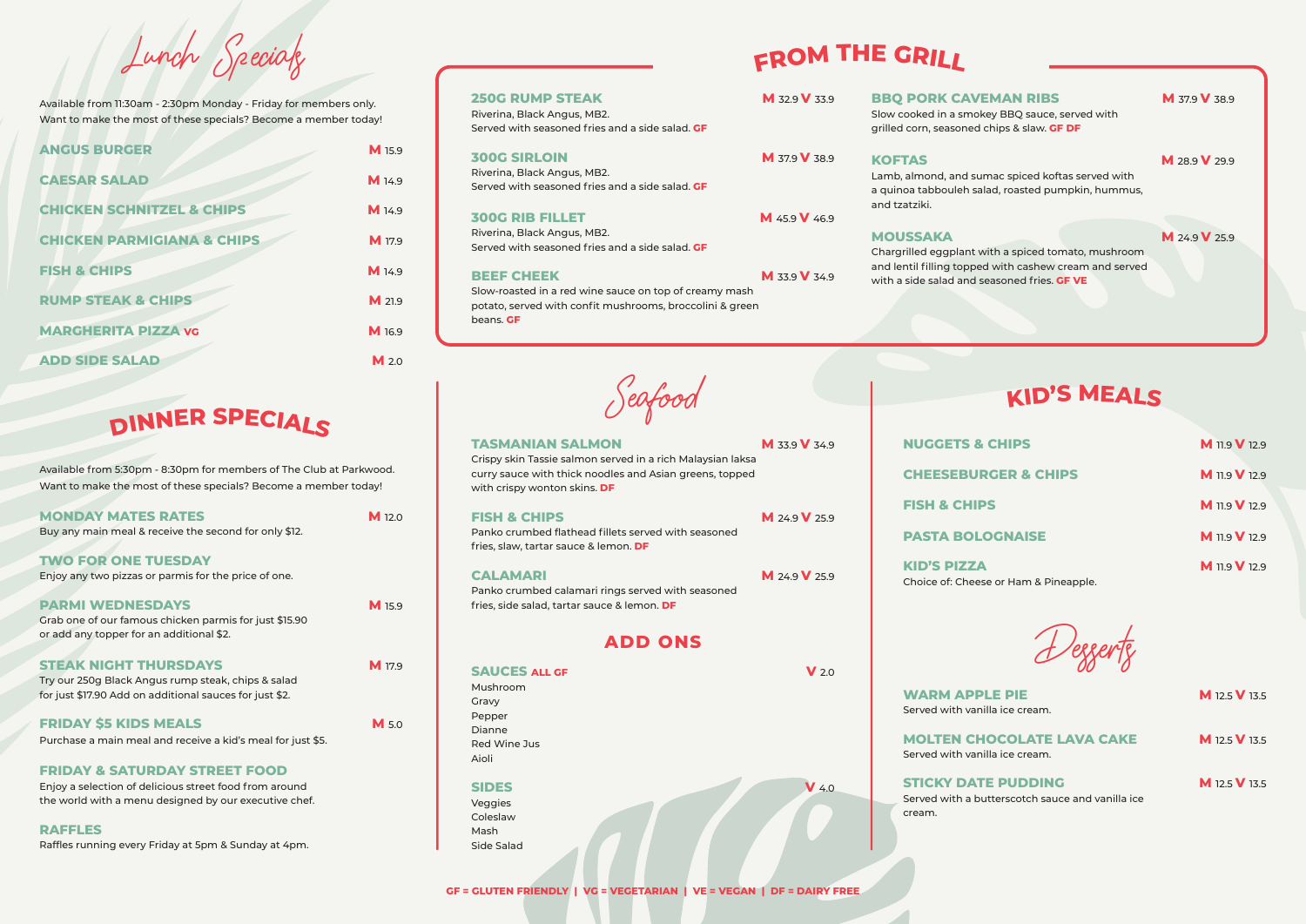Seafood

## **TASMANIAN SALMON M** 33.9 **V** 34.9

| <b>ADD ONS</b>                                                                         |  |         |                                                                                                                                |  |
|----------------------------------------------------------------------------------------|--|---------|--------------------------------------------------------------------------------------------------------------------------------|--|
| <b>SAUCES ALL GF</b><br>Mushroom<br>Gravy<br>Pepper<br>Dianne<br>Red Wine Jus<br>Aioli |  | $V$ 2.0 | <b>WARM APPLE PIE</b><br>Served with vanilla ice cream.<br><b>MOLTEN CHOCOLATE LAVA CAKE</b><br>Served with vanilla ice cream. |  |
| <b>SIDES</b><br>Veggies<br>Coleslaw<br>Mash                                            |  | $V$ 4.0 | <b>STICKY DATE PUDDING</b><br>Served with a butterscotch sauce and vanilla io<br>cream.                                        |  |

Side Salad

## **WARM APPLE PIE MANUS 12.5 <b>W** 12.5 **V** 13.5 Served with vanilla ice cream.

**MOLTEN CHOCOLATE LAVA CAKE M** 12.5 **V** 13.5 Served with vanilla ice cream.

## **STICKY DATE PUDDING M** 12.5 **V** 13.5 cream.

| <b>NUGGETS &amp; CHIPS</b>      | <b>M</b> 11.9 V 12.9 |
|---------------------------------|----------------------|
| <b>CHEESEBURGER &amp; CHIPS</b> | <b>M</b> 11.9 V 12.9 |
| <b>FISH &amp; CHIPS</b>         | <b>M</b> 11.9 V 12.9 |
| <b>PASTA BOLOGNAISE</b>         | <b>M</b> 11.9 V 12.9 |
| <b>KID'S PIZZA</b>              | <b>M</b> 11.9 V 12.9 |

Choice of: Cheese or Ham & Pineapple.

### Crispy skin Tassie salmon served in a rich Malaysian laksa curry sauce with thick noodles and Asian greens, topped with crispy wonton skins. **DF**

## **FISH & CHIPS M** 24.9 **M** 24.9 **M** 25.9

Panko crumbed flathead fillets served with seasoned fries, slaw, tartar sauce & lemon. **DF**

## **CALAMARI M** 24.9 **V** 25.9

**BBO PORK CAVEMAN RIBS M 37.9 V 38.9** Slow cooked in a smokey BBQ sauce, served with grilled corn, seasoned chips & slaw. **GF DF KOFTAS M** 28.9 **V** 29.9 Lamb, almond, and sumac spiced koftas served with a quinoa tabbouleh salad, roasted pumpkin, hummus, and tzatziki. **MOUSSAKA M** 24.9 **V** 25.9 Chargrilled eggplant with a spiced tomato, mushroom and lentil filling topped with cashew cream and served with a side salad and seasoned fries. **GF VE**

## **NUGGETS &**

Panko crumbed calamari rings served with seasoned fries, side salad, tartar sauce & lemon. **DF**

Riverina, Black Angus, MB2. Served with seasoned fries and a side salad. **GF**

## **300G SIRLOIN M** 37.9 **V** 38.9

Riverina, Black Angus, MB2. Served with seasoned fries and a side salad. **GF**

## **300G RIB FILLET M** 45.9 **V** 46.9

**MONDAY MATES RATES MINIMUM M** 12.0 Buy any main meal & receive the second for only \$12.

Riverina, Black Angus, MB2. Served with seasoned fries and a side salad. **GF**

## **BEEF CHEEK M** 33.9 **V** 34.9

Slow-roasted in a red wine sauce on top of creamy mash potato, served with confit mushrooms, broccolini & green beans. **GF**

## **ADD ONS**

# **<sup>F</sup>RO<sup>M</sup> <sup>T</sup>H<sup>E</sup> <sup>G</sup>RIL<sup>L</sup>**

## **KID'S MEALS**

Lunch Specials

Available from 11:30am - 2:30pm Monday - Friday for members only. Want to make the most of these specials? Become a member today!

| <b>ANGUS BURGER</b>                   | M 15.9           |
|---------------------------------------|------------------|
| <b>CAESAR SALAD</b>                   | M 14.9           |
| <b>CHICKEN SCHNITZEL &amp; CHIPS</b>  | M 14.9           |
| <b>CHICKEN PARMIGIANA &amp; CHIPS</b> | M 17.9           |
| <b>FISH &amp; CHIPS</b>               | M 14.9           |
| <b>RUMP STEAK &amp; CHIPS</b>         | M 21.9           |
| <b>MARGHERITA PIZZA VG</b>            | M 16.9           |
| <b>ADD SIDE SALAD</b>                 | M <sub>2.0</sub> |

Available from 5:30pm - 8:30pm for members of The Club at Parkwood. Want to make the most of these specials? Become a member today!

**TWO FOR ONE TUESDAY** 

Enjoy any two pizzas or parmis for the price of one.

## **PARMI WEDNESDAYS** M 15.9

Grab one of our famous chicken parmis for just \$15.90 or add any topper for an additional \$2.

## **STEAK NIGHT THURSDAYS MITS**

Try our 250g Black Angus rump steak, chips & salad for just \$17.90 Add on additional sauces for just \$2.

## **FRIDAY \$5 KIDS MEALS MANUS** M 5.0

Purchase a main meal and receive a kid's meal for just \$5.

## **FRIDAY & SATURDAY STREET FOOD**

Enjoy a selection of delicious street food from around the world with a menu designed by our executive chef.

**RAFFLES** 

Raffles running every Friday at 5pm & Sunday at 4pm.

## **250G RUMP STEAK M** 32.9 **V** 33.9

# **<sup>D</sup>INNE<sup>R</sup> <sup>S</sup>PECIAL<sup>S</sup>**